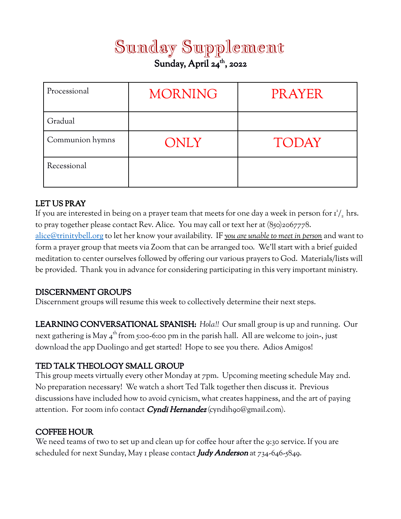# Sunday Supplement Sunday, April 24<sup>th</sup>, 2022

| Processional    | <b>MORNING</b> | PRAYER       |
|-----------------|----------------|--------------|
| Gradual         |                |              |
| Communion hymns | ONLY           | <b>TODAY</b> |
| Recessional     |                |              |

# LET US PRAY

If you are interested in being on a prayer team that meets for one day a week in person for  $\mathrm{r\text{'}}\ell_{\text{2}}$  hrs. to pray together please contact Rev. Alice. You may call or text her at (850)2067778. alice@trinitybell.org to let her know your availability. IF *you are unable to meet in person* and want to form a prayer group that meets via Zoom that can be arranged too. We'll start with a brief guided meditation to center ourselves followed by offering our various prayers to God. Materials/lists will be provided. Thank you in advance for considering participating in this very important ministry.

## DISCERNMENT GROUPS

Discernment groups will resume this week to collectively determine their next steps.

LEARNING CONVERSATIONAL SPANISH: *Hola!!* Our small group is up and running. Our next gathering is May 4<sup>th</sup> from 5:00-6:00 pm in the parish hall. All are welcome to join-, just download the app Duolingo and get started! Hope to see you there. Adios Amigos!

# TED TALK THEOLOGY SMALL GROUP

This group meets virtually every other Monday at 7pm. Upcoming meeting schedule May 2nd. No preparation necessary! We watch a short Ted Talk together then discuss it. Previous discussions have included how to avoid cynicism, what creates happiness, and the art of paying attention. For zoom info contact **Cyndi Hernandez** (cyndih90@gmail.com).

## COFFEE HOUR

We need teams of two to set up and clean up for coffee hour after the 9:30 service. If you are scheduled for next Sunday, May 1 please contact **Judy Anderson** at  $734-646-5849$ .